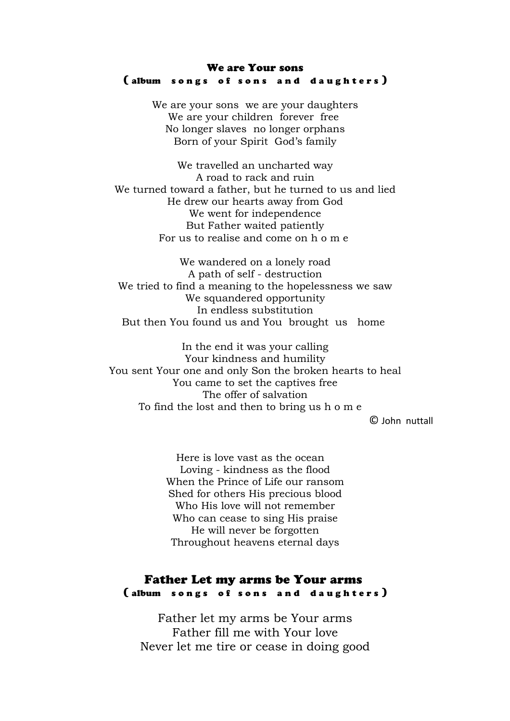#### We are Your sons (album songs of sons and daughters)

We are your sons we are your daughters We are your children forever free No longer slaves no longer orphans Born of your Spirit God's family

We travelled an uncharted way A road to rack and ruin We turned toward a father, but he turned to us and lied He drew our hearts away from God We went for independence But Father waited patiently For us to realise and come on h o m e

We wandered on a lonely road A path of self - destruction We tried to find a meaning to the hopelessness we saw We squandered opportunity In endless substitution But then You found us and You brought us home

In the end it was your calling Your kindness and humility You sent Your one and only Son the broken hearts to heal You came to set the captives free The offer of salvation To find the lost and then to bring us h o m e

© John nuttall

Here is love vast as the ocean Loving - kindness as the flood When the Prince of Life our ransom Shed for others His precious blood Who His love will not remember Who can cease to sing His praise He will never be forgotten Throughout heavens eternal days

## Father Let my arms be Your arms (album songs of sons and daughters)

Father let my arms be Your arms Father fill me with Your love Never let me tire or cease in doing good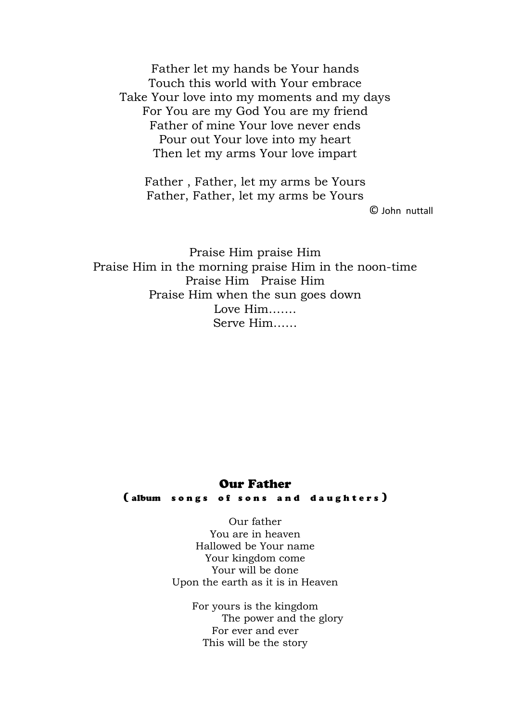Father let my hands be Your hands Touch this world with Your embrace Take Your love into my moments and my days For You are my God You are my friend Father of mine Your love never ends Pour out Your love into my heart Then let my arms Your love impart

Father , Father, let my arms be Yours Father, Father, let my arms be Yours

© John nuttall

Praise Him praise Him Praise Him in the morning praise Him in the noon-time Praise Him Praise Him Praise Him when the sun goes down Love Him……. Serve Him……

#### Our Father

(album songs of sons and daughters)

Our father You are in heaven Hallowed be Your name Your kingdom come Your will be done Upon the earth as it is in Heaven

> For yours is the kingdom The power and the glory For ever and ever This will be the story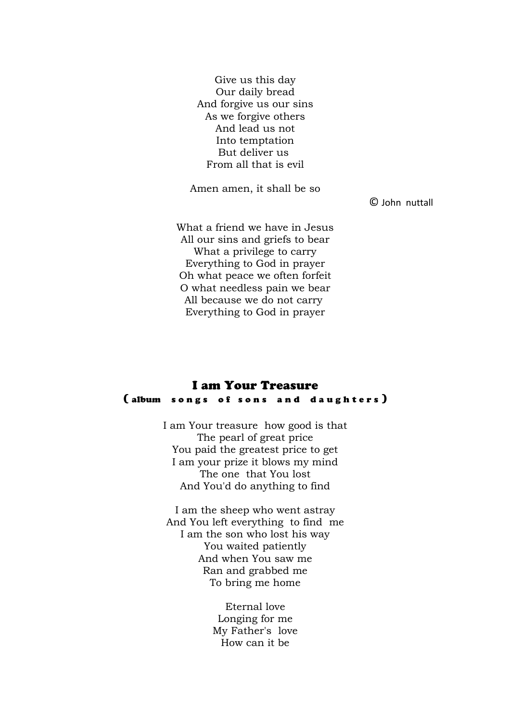Give us this day Our daily bread And forgive us our sins As we forgive others And lead us not Into temptation But deliver us From all that is evil

Amen amen, it shall be so

© John nuttall

What a friend we have in Jesus All our sins and griefs to bear What a privilege to carry Everything to God in prayer Oh what peace we often forfeit O what needless pain we bear All because we do not carry Everything to God in prayer

### I am Your Treasure (album songs of sons and daughters)

I am Your treasure how good is that The pearl of great price You paid the greatest price to get I am your prize it blows my mind The one that You lost And You'd do anything to find

I am the sheep who went astray And You left everything to find me I am the son who lost his way You waited patiently And when You saw me Ran and grabbed me To bring me home

> Eternal love Longing for me My Father's love How can it be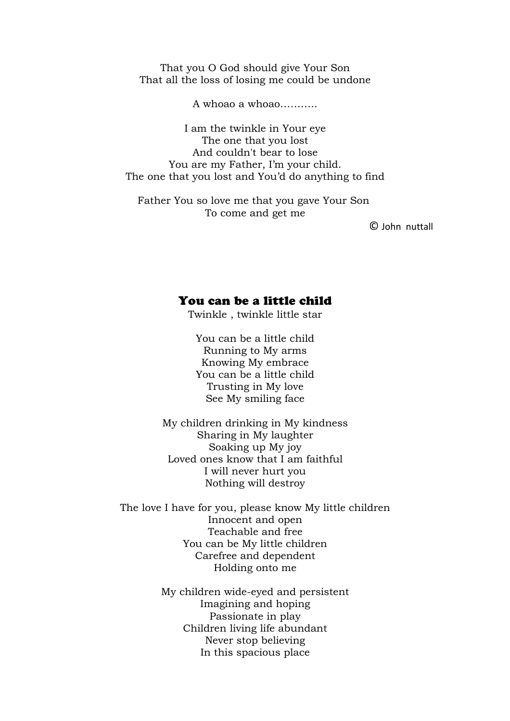That you O God should give Your Son That all the loss of losing me could be undone

A whoao a whoao………..

I am the twinkle in Your eye The one that you lost And couldn't bear to lose You are my Father, I'm your child. The one that you lost and You'd do anything to find

Father You so love me that you gave Your Son To come and get me

© John nuttall

#### You can be a little child

Twinkle , twinkle little star

You can be a little child Running to My arms Knowing My embrace You can be a little child Trusting in My love See My smiling face

My children drinking in My kindness Sharing in My laughter Soaking up My joy Loved ones know that I am faithful I will never hurt you Nothing will destroy

The love I have for you, please know My little children Innocent and open Teachable and free You can be My little children Carefree and dependent Holding onto me

> My children wide-eyed and persistent Imagining and hoping Passionate in play Children living life abundant Never stop believing In this spacious place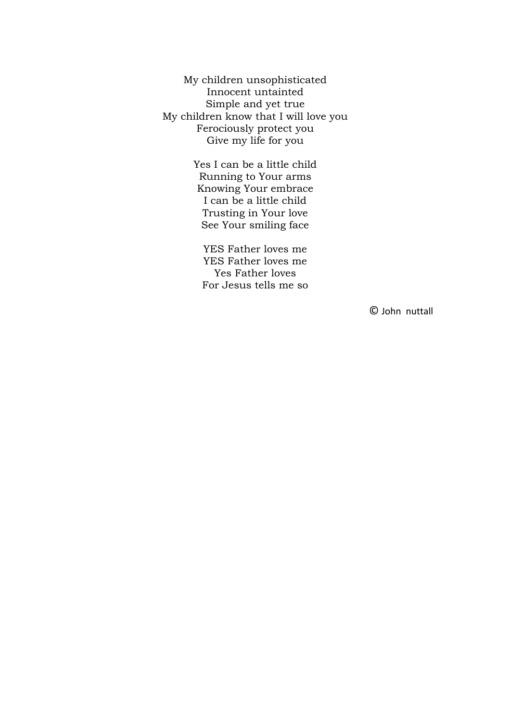My children unsophisticated Innocent untainted Simple and yet true My children know that I will love you Ferociously protect you Give my life for you

> Yes I can be a little child Running to Your arms Knowing Your embrace I can be a little child Trusting in Your love See Your smiling face

YES Father loves me YES Father loves me Yes Father loves For Jesus tells me so

© John nuttall